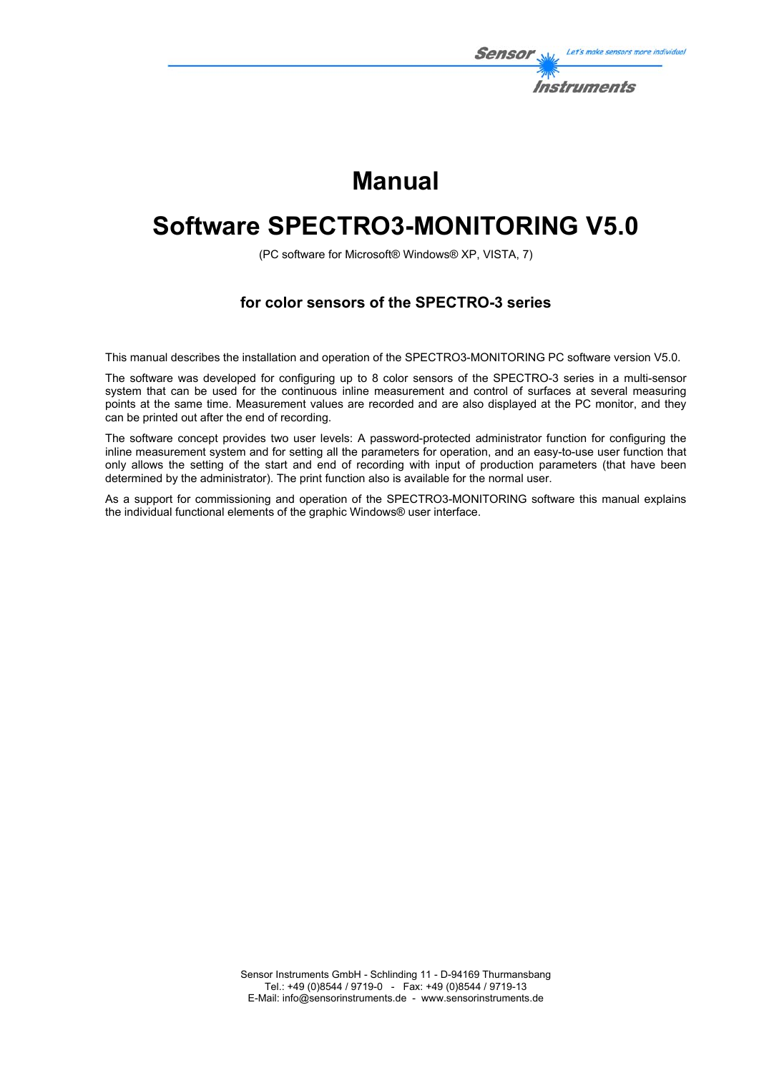

# **Manual**

# **Software SPECTRO3-MONITORING V5.0**

(PC software for Microsoft® Windows® XP, VISTA, 7)

## **for color sensors of the SPECTRO-3 series**

This manual describes the installation and operation of the SPECTRO3-MONITORING PC software version V5.0.

The software was developed for configuring up to 8 color sensors of the SPECTRO-3 series in a multi-sensor system that can be used for the continuous inline measurement and control of surfaces at several measuring points at the same time. Measurement values are recorded and are also displayed at the PC monitor, and they can be printed out after the end of recording.

The software concept provides two user levels: A password-protected administrator function for configuring the inline measurement system and for setting all the parameters for operation, and an easy-to-use user function that only allows the setting of the start and end of recording with input of production parameters (that have been determined by the administrator). The print function also is available for the normal user.

As a support for commissioning and operation of the SPECTRO3-MONITORING software this manual explains the individual functional elements of the graphic Windows® user interface.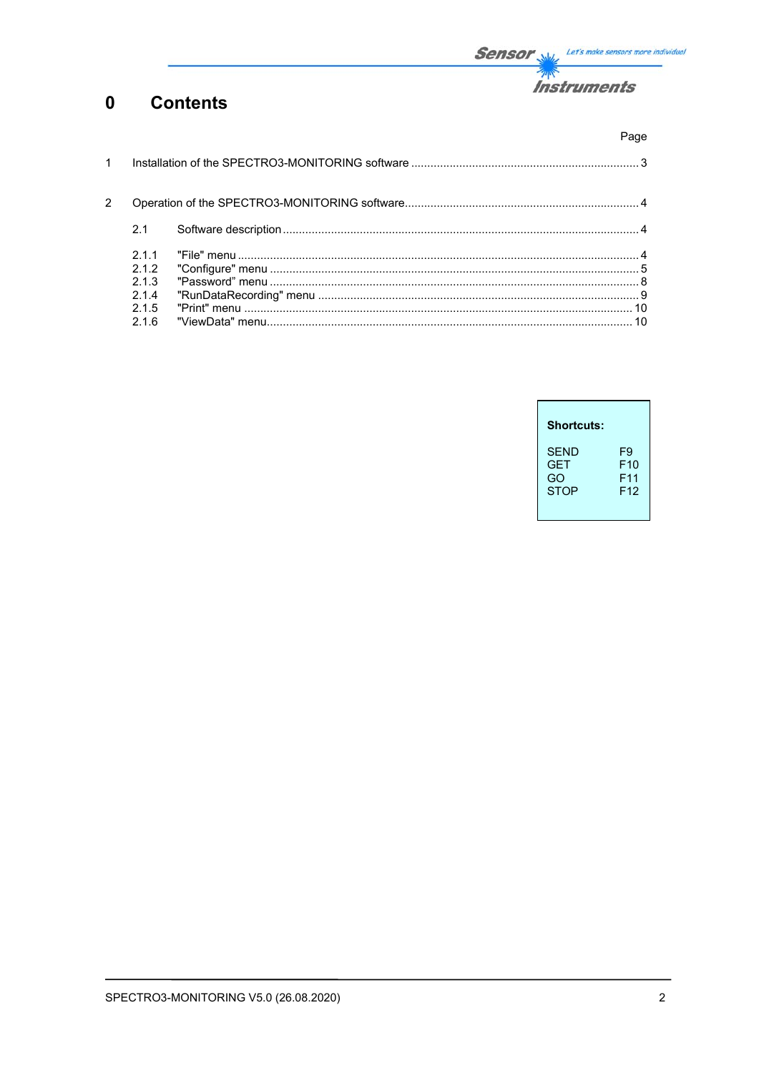

#### $\mathbf 0$ **Contents**

|              |                                              | Page |
|--------------|----------------------------------------------|------|
| $\mathbf{1}$ |                                              |      |
| 2            |                                              |      |
|              | 2.1                                          |      |
|              | 211<br>212<br>2.1.3<br>2.1.4<br>2.1.5<br>216 |      |

| <b>Shortcuts:</b>                              |                                                             |
|------------------------------------------------|-------------------------------------------------------------|
| <b>SFND</b><br><b>GET</b><br>GO<br><b>STOP</b> | F9<br>F <sub>10</sub><br>F <sub>11</sub><br>F <sub>12</sub> |
|                                                |                                                             |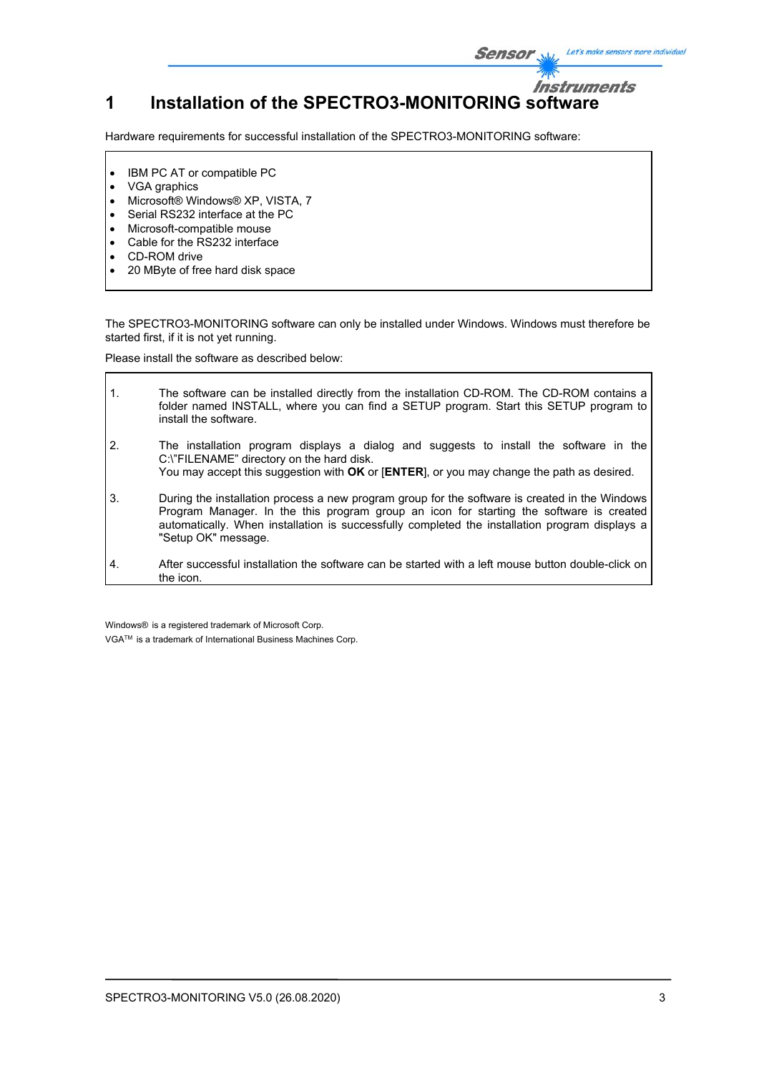## **Instruments 1 Installation of the SPECTRO3-MONITORING software**

Hardware requirements for successful installation of the SPECTRO3-MONITORING software:

- IBM PC AT or compatible PC
- VGA graphics
- Microsoft® Windows® XP, VISTA, 7
- Serial RS232 interface at the PC
- Microsoft-compatible mouse
- Cable for the RS232 interface
- CD-ROM drive

h

20 MByte of free hard disk space

The SPECTRO3-MONITORING software can only be installed under Windows. Windows must therefore be started first, if it is not yet running.

Please install the software as described below:

| $\mathbf{1}$ . | The software can be installed directly from the installation CD-ROM. The CD-ROM contains a<br>folder named INSTALL, where you can find a SETUP program. Start this SETUP program to<br>install the software.                                                                                                       |
|----------------|--------------------------------------------------------------------------------------------------------------------------------------------------------------------------------------------------------------------------------------------------------------------------------------------------------------------|
| 2.             | The installation program displays a dialog and suggests to install the software in the<br>C:\"FILENAME" directory on the hard disk.<br>You may accept this suggestion with OK or [ENTER], or you may change the path as desired.                                                                                   |
| 3.             | During the installation process a new program group for the software is created in the Windows<br>Program Manager. In the this program group an icon for starting the software is created<br>automatically. When installation is successfully completed the installation program displays a<br>"Setup OK" message. |
| $\mathbf{4}$   | After successful installation the software can be started with a left mouse button double-click on<br>the icon.                                                                                                                                                                                                    |

Windows® is a registered trademark of Microsoft Corp.

VGATM is a trademark of International Business Machines Corp.

Let's make sensors more individual

Sensor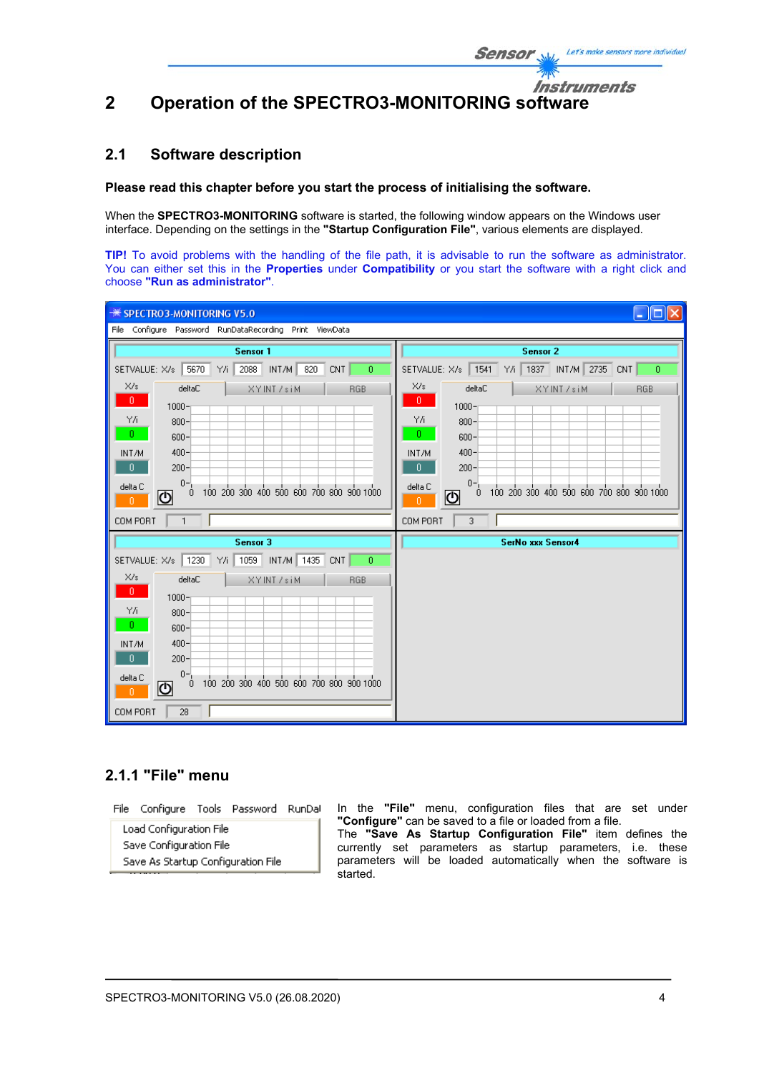Instruments

# **2 Operation of the SPECTRO3-MONITORING software**

## **2.1 Software description**

#### **Please read this chapter before you start the process of initialising the software.**

When the **SPECTRO3-MONITORING** software is started, the following window appears on the Windows user interface. Depending on the settings in the **"Startup Configuration File"**, various elements are displayed.

**TIP!** To avoid problems with the handling of the file path, it is advisable to run the software as administrator. You can either set this in the **Properties** under **Compatibility** or you start the software with a right click and choose **"Run as administrator"**.

| <b>※ SPECTRO3-MONITORING V5.0</b>                                  |                                                                         |  |  |  |
|--------------------------------------------------------------------|-------------------------------------------------------------------------|--|--|--|
| File Configure Password RunDataRecording Print ViewData            |                                                                         |  |  |  |
| Sensor 1                                                           | Sensor 2                                                                |  |  |  |
| 2088 INT/M 820<br>5670 Y/i<br>SETVALUE: X/s  <br>CNT<br>0          | SETVALUE: X/s 1541<br>Y/i   1837   INT/M   2735   CNT<br>$\overline{0}$ |  |  |  |
| X/s<br>deltaC<br>XYINT /siM<br><b>RGB</b>                          | X/s<br>deltaC<br>XYINT /siM<br><b>RGB</b>                               |  |  |  |
| $0 -$<br>$1000 -$                                                  | $0 -$<br>$1000 -$                                                       |  |  |  |
| YÆ<br>$800 -$                                                      | YΛ<br>$800 -$                                                           |  |  |  |
| $0 -$<br>$600 -$                                                   | $0^-$<br>$600 -$                                                        |  |  |  |
| $400 -$<br>INT/M<br>$\mathbf{0}$<br>$200 -$                        | INT/M<br>$400 -$<br>$\bullet$<br>$200 -$                                |  |  |  |
| $0 -$<br>delta C                                                   | $0 -$<br>delta C                                                        |  |  |  |
| 0 100 200 300 400 500 600 700 800 900 1000<br>ଏ<br>$\vert 0 \vert$ | 100 200 300 400 500 600 700 800 900 1000<br>0<br>ပ<br>$\mathbf{0}$      |  |  |  |
| COM PORT<br>$\mathbf{1}$                                           | COM PORT<br>3                                                           |  |  |  |
| Sensor 3                                                           | <b>SerNo xxx Sensor4</b>                                                |  |  |  |
| SETVALUE: X/s 1230 Y/i<br>1059 INT/M 1435 CNT<br>$\overline{0}$    |                                                                         |  |  |  |
| X/s<br>deltaC<br>XYINT /siM<br><b>RGB</b>                          |                                                                         |  |  |  |
| $0 -$<br>$1000 -$                                                  |                                                                         |  |  |  |
| YÆ<br>$800 -$                                                      |                                                                         |  |  |  |
| 0.<br>$600 -$                                                      |                                                                         |  |  |  |
| $400 -$<br>INT/M<br>$200 -$<br>$\mathbf{0}$                        |                                                                         |  |  |  |
| $0 -$<br>delta C                                                   |                                                                         |  |  |  |
| 0 100 200 300 400 500 600 700 800 900 1000<br>୲୰<br>$\mathbf{0}$   |                                                                         |  |  |  |
| COM PORT<br>28                                                     |                                                                         |  |  |  |

## **2.1.1 "File" menu**

File Configure Tools Password RunDal

| Load Configuration File            |
|------------------------------------|
| Save Configuration File            |
| Save As Startup Configuration File |

In the **"File"** menu, configuration files that are set under **"Configure"** can be saved to a file or loaded from a file. The **"Save As Startup Configuration File"** item defines the currently set parameters as startup parameters, i.e. these parameters will be loaded automatically when the software is started.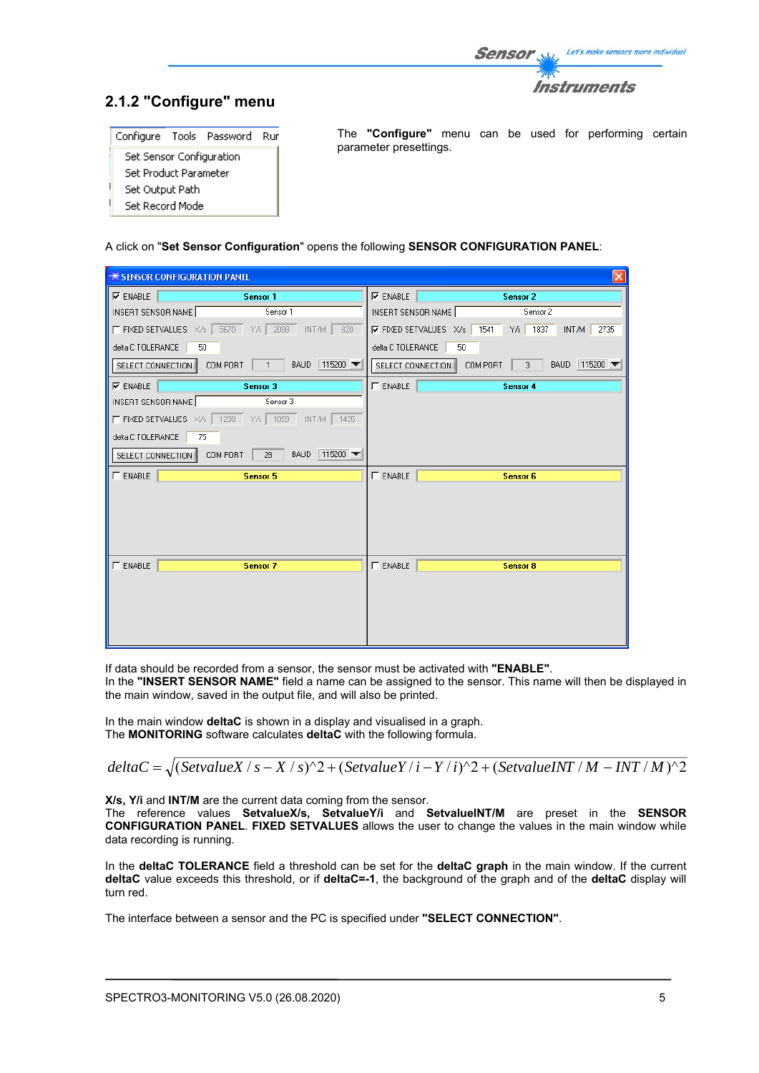

## **2.1.2 "Configure" menu**

| Configure Tools Password        |  |  | Rur |
|---------------------------------|--|--|-----|
| <b>Set Sensor Configuration</b> |  |  |     |
| Set Product Parameter           |  |  |     |
| Set Output Path                 |  |  |     |
| Set Record Mode                 |  |  |     |

The **"Configure"** menu can be used for performing certain parameter presettings.

#### A click on "**Set Sensor Configuration**" opens the following **SENSOR CONFIGURATION PANEL**:

| <b>** SENSOR CONFIGURATION PANEL</b>                         |                                                                |  |  |  |
|--------------------------------------------------------------|----------------------------------------------------------------|--|--|--|
| $\nabla$ ENABLE<br>Sensor 1                                  | $\nabla$ ENABLE<br><b>Sensor 2</b>                             |  |  |  |
| INSERT SENSOR NAME<br>Sensor 1                               | INSERT SENSOR NAME<br>Sensor 2                                 |  |  |  |
| F FIXED SETVALUES X/s 5670 Y/i 2088<br>INT/M<br>820          | $\nabla$ FIXED SETVALUES X/s<br>Y/i 1837<br>1541<br>INT/M 2735 |  |  |  |
| delta C TOLERANCE<br>50                                      | 50<br>delta C TOLERANCE                                        |  |  |  |
| BAUD 115200<br>COM PORT<br>SELECT CONNECTION<br>$\mathbf{1}$ | BAUD 115200 ▼<br>COM PORT<br>3<br>SELECT CONNECTION            |  |  |  |
| $\nabla$ ENABLE<br>Sensor 3                                  | $\Gamma$ ENABLE<br>Sensor 4                                    |  |  |  |
| INSERT SENSOR NAME<br>Sensor 3                               |                                                                |  |  |  |
| F FIXED SETVALUES X/s 1230 Y/i 1059 INT/M 1435               |                                                                |  |  |  |
| delta C TOLERANCE<br>75                                      |                                                                |  |  |  |
| BAUD 115200<br>COM PORT<br>SELECT CONNECTION<br>28           |                                                                |  |  |  |
| $\Gamma$ ENABLE<br>Sensor 5                                  | $\Gamma$ ENABLE<br>Sensor 6                                    |  |  |  |
|                                                              |                                                                |  |  |  |
|                                                              |                                                                |  |  |  |
|                                                              |                                                                |  |  |  |
|                                                              |                                                                |  |  |  |
| $\Gamma$ ENABLE<br>Sensor 7                                  | $\Gamma$ ENABLE<br>Sensor 8                                    |  |  |  |
|                                                              |                                                                |  |  |  |
|                                                              |                                                                |  |  |  |
|                                                              |                                                                |  |  |  |
|                                                              |                                                                |  |  |  |
|                                                              |                                                                |  |  |  |

If data should be recorded from a sensor, the sensor must be activated with **"ENABLE"**. In the **"INSERT SENSOR NAME"** field a name can be assigned to the sensor. This name will then be displayed in the main window, saved in the output file, and will also be printed.

In the main window **deltaC** is shown in a display and visualised in a graph. The **MONITORING** software calculates **deltaC** with the following formula.

$$
deltaC = \sqrt{(Set valueX / s - X / s)^{2} + (Set valueY / i - Y / i)^{2} + (Set valueINT / M - INT / M)^{2}}
$$

**X/s, Y/i and INT/M** are the current data coming from the sensor.

The reference values **SetvalueX/s, SetvalueY/i** and **SetvalueINT/M** are preset in the **SENSOR CONFIGURATION PANEL**. **FIXED SETVALUES** allows the user to change the values in the main window while data recording is running.

In the **deltaC TOLERANCE** field a threshold can be set for the **deltaC graph** in the main window. If the current **deltaC** value exceeds this threshold, or if **deltaC=-1**, the background of the graph and of the **deltaC** display will turn red.

The interface between a sensor and the PC is specified under **"SELECT CONNECTION"**.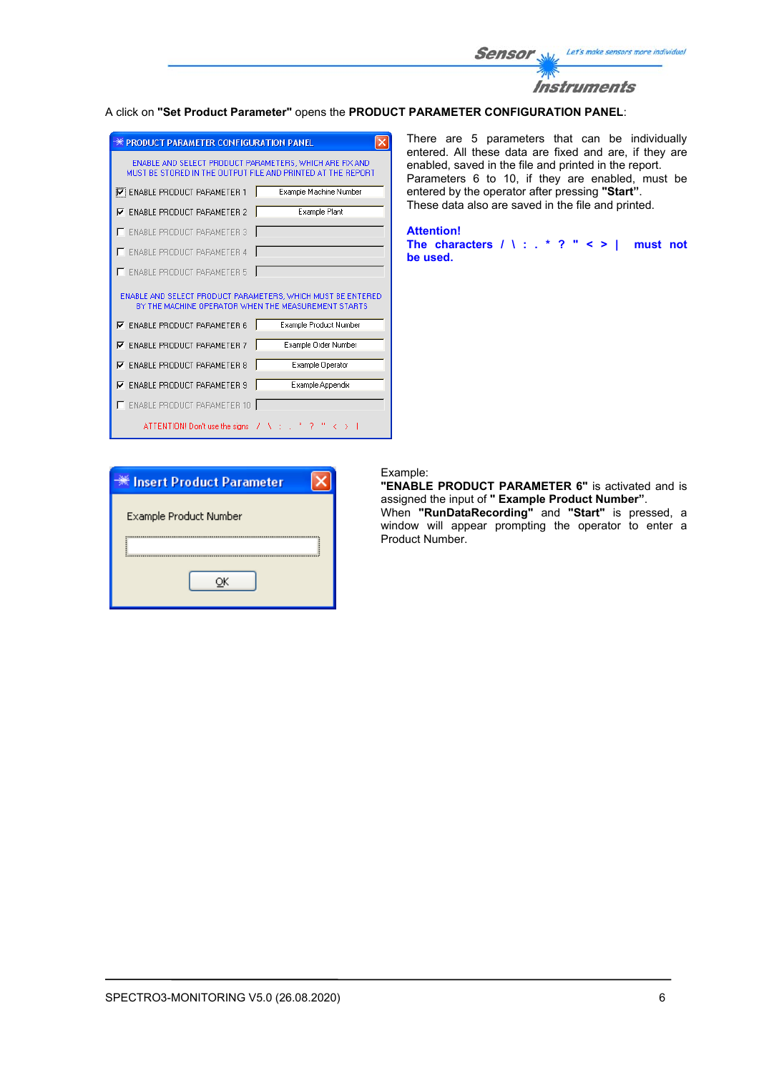

#### A click on **"Set Product Parameter"** opens the **PRODUCT PARAMETER CONFIGURATION PANEL**:

| <b>** PRODUCT PARAMETER CONFIGURATION PANEL</b>                                                                        |                        |  |  |  |  |
|------------------------------------------------------------------------------------------------------------------------|------------------------|--|--|--|--|
| ENABLE AND SELECT PRODUCT PARAMETERS. WHICH ARE FIX AND<br>MUST BE STORED IN THE OUTPUT FILE AND PRINTED AT THE REPORT |                        |  |  |  |  |
| <b>V</b> ENABLE PRODUCT PARAMETER 1                                                                                    | Example Machine Number |  |  |  |  |
| <b>ENABLE PRODUCT PARAMETER 2</b><br>⊽                                                                                 | Example Plant          |  |  |  |  |
| <b>ENABLE PRODUCT PARAMETER 3</b>                                                                                      |                        |  |  |  |  |
| <b>ENABLE PRODUCT PARAMETER 4</b>                                                                                      |                        |  |  |  |  |
| <b>ENABLE PRODUCT PARAMETER 5</b>                                                                                      |                        |  |  |  |  |
| ENABLE AND SELECT PRODUCT PARAMETERS, WHICH MUST BE ENTERED<br>BY THE MACHINE OPERATOR WHEN THE MEASUREMENT STARTS     |                        |  |  |  |  |
| $\nabla$ ENABLE PRODUCT PARAMETER 6                                                                                    |                        |  |  |  |  |
|                                                                                                                        | Example Product Number |  |  |  |  |
| <b>ENABLE PRODUCT PARAMETER 7</b><br>⊽                                                                                 | Example Order Number   |  |  |  |  |
| <b>ENABLE PRODUCT PARAMETER 8</b><br>⊽                                                                                 | Example Operator       |  |  |  |  |
| <b>ENABLE PRODUCT PARAMETER 9</b><br>⊽                                                                                 | Example Appendix       |  |  |  |  |
| <b>ENABLE PRODUCT PARAMETER 10</b>                                                                                     |                        |  |  |  |  |

There are 5 parameters that can be individually entered. All these data are fixed and are, if they are enabled, saved in the file and printed in the report. Parameters 6 to 10, if they are enabled, must be entered by the operator after pressing **"Start"**. These data also are saved in the file and printed.

**Attention!** 

**The characters / \ : . \* ? " < > | must not be used.**

| ☀ Insert Product Parameter    |
|-------------------------------|
| <b>Example Product Number</b> |
|                               |
|                               |
|                               |

#### Example:

**"ENABLE PRODUCT PARAMETER 6"** is activated and is assigned the input of **" Example Product Number"**.

When **"RunDataRecording"** and **"Start"** is pressed, a window will appear prompting the operator to enter a Product Number.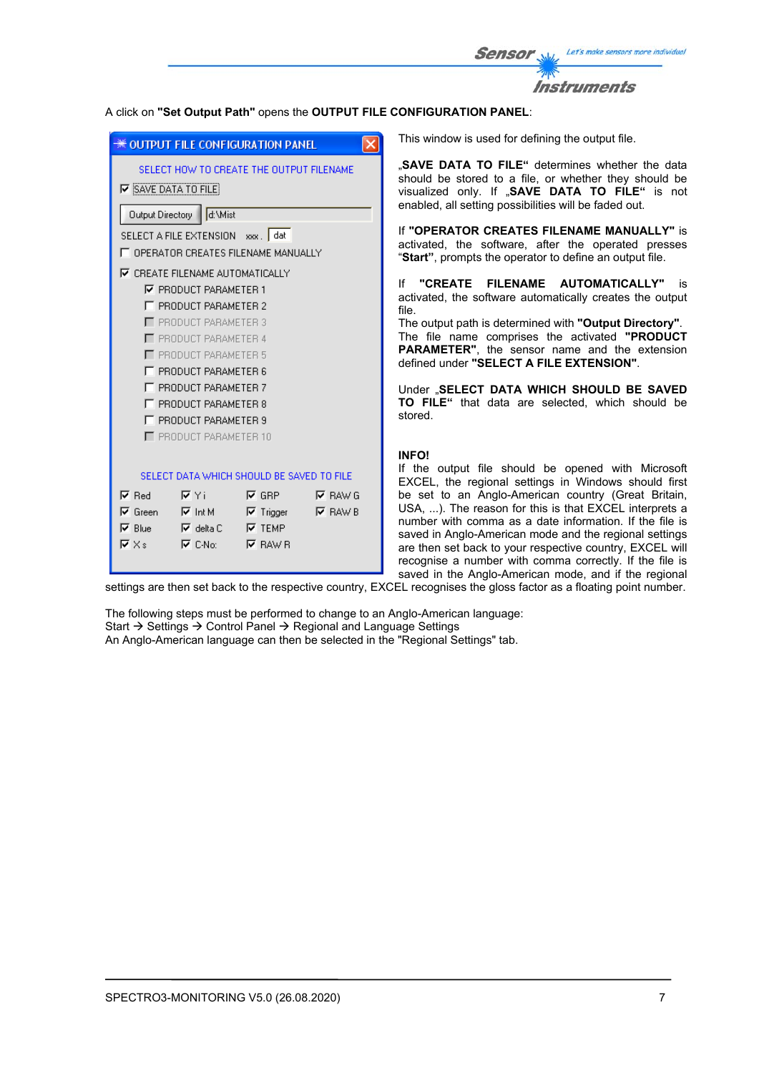| <b>Sensor</b> | Let's make sensors more individual |
|---------------|------------------------------------|
| <b>TANY</b>   |                                    |
|               | <b>Instruments</b>                 |

### A click on **"Set Output Path"** opens the **OUTPUT FILE CONFIGURATION PANEL**:

|                                                                      | <del>※</del> OUTPUT FILE CONFIGURATION PANEL                                                                                                                                                                                                                                                            |                               | $\times$                          | This window                                                                                                                                          |
|----------------------------------------------------------------------|---------------------------------------------------------------------------------------------------------------------------------------------------------------------------------------------------------------------------------------------------------------------------------------------------------|-------------------------------|-----------------------------------|------------------------------------------------------------------------------------------------------------------------------------------------------|
|                                                                      | SELECT HOW TO CREATE THE OUTPUT FILENAME<br><b>V</b> SAVE DATA TO FILE<br>Output Directory   d:\Mist                                                                                                                                                                                                    |                               |                                   | "SAVE DAT<br>should be s<br>visualized o<br>enabled, all                                                                                             |
|                                                                      | SELECT A FILE EXTENSION xxx. dat<br>T OPERATOR CREATES FILENAME MANUALLY                                                                                                                                                                                                                                |                               |                                   | If "OPERAT<br>activated, tl<br>"Start", pror                                                                                                         |
|                                                                      | <b>▽ CREATE FILENAME AUTOMATICALLY</b><br><b>▽ PRODUCT PARAMETER 1</b><br>F PRODUCT PARAMETER 2<br>PRODUCT PARAMETER 3<br>PRODUCT PARAMETER 4<br>PRODUCT PARAMETER 5<br><b>F PRODUCT PARAMETER 6</b><br>F PRODUCT PARAMETER 7<br>F PRODUCT PARAMETER 8<br>F PRODUCT PARAMETER 9<br>PRODUCT PARAMETER 10 |                               |                                   | If "CREAT<br>activated, th<br>file.<br>The output p<br>The file na<br><b>PARAMETE</b><br>defined unde<br>Under "SEL<br>TO FILE"<br>stored.           |
| $\nabla$ Red<br>$\nabla$ Green<br>$\nabla$ Blue<br>$\nabla \times$ s | SELECT DATA WHICH SHOULD BE SAVED TO FILE<br>– I⊽ Yi<br><b>IV</b> Int M Int Intigger<br>— I⊽ delta C<br>$\nabla$ C-No: $\nabla$ RAW R                                                                                                                                                                   | $\nabla$ GRP<br>$\nabla$ TEMP | <b>IV</b> RAW G<br>$\nabla$ RAW B | <b>INFO!</b><br>If the outp<br>EXCEL, the<br>be set to a<br>USA, ). Th<br>number with<br>saved in Ang<br>are then set<br>recognise a<br>saved in the |

is used for defining the output file.

A TO FILE" determines whether the data tored to a file, or whether they should be visualized only. If "**SAVE DATA TO FILE"** is not setting possibilities will be faded out.

**OR CREATES FILENAME MANUALLY"** is he software, after the operated presses mpts the operator to define an output file.

**IE FILENAME AUTOMATICALLY"** is e software automatically creates the output

ath is determined with "Output Directory". The file name comprises the activated **"PRODUCT PARAMETER"**, the sensor name and the extension defined under **"SELECT A FILE EXTENSION"**.

**ECT DATA WHICH SHOULD BE SAVED TO FILE"** that data are selected, which should be

ut file should be opened with Microsoft regional settings in Windows should first an Anglo-American country (Great Britain,  $P$  reason for this is that EXCEL interprets a comma as a date information. If the file is glo-American mode and the regional settings back to your respective country, EXCEL will number with comma correctly. If the file is e Anglo-American mode, and if the regional

settings are then set back to the respective country, EXCEL recognises the gloss factor as a floating point number.

The following steps must be performed to change to an Anglo-American language: Start  $\rightarrow$  Settings  $\rightarrow$  Control Panel  $\rightarrow$  Regional and Language Settings An Anglo-American language can then be selected in the "Regional Settings" tab.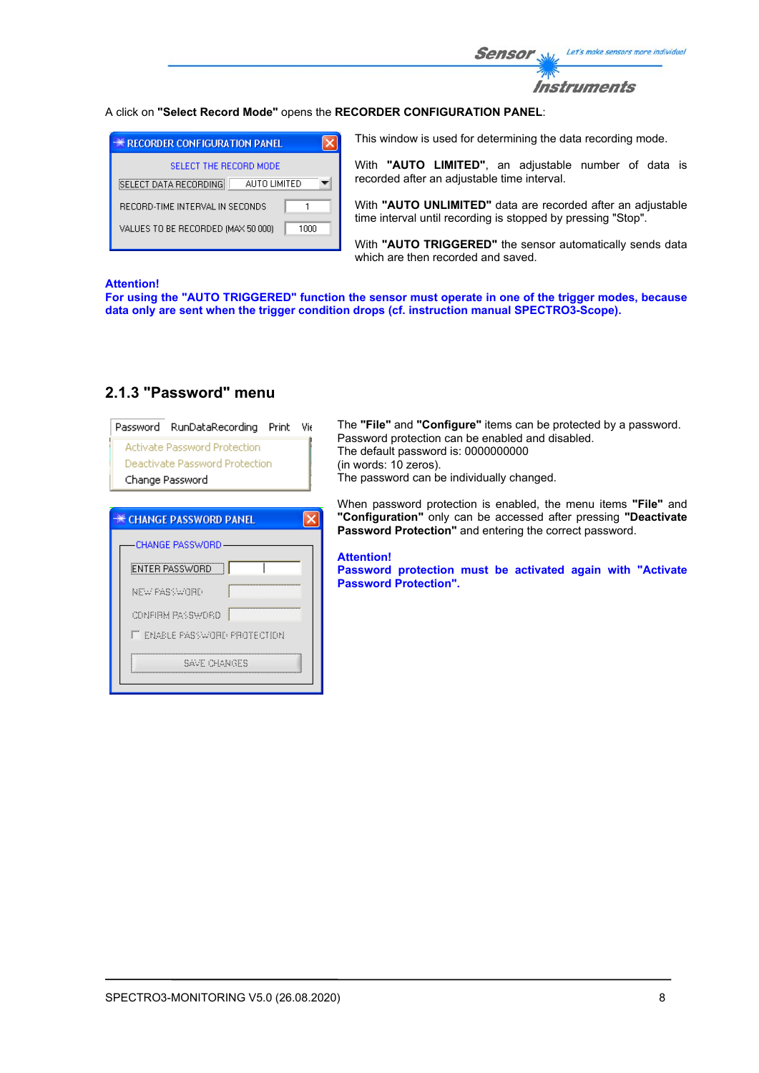

### A click on **"Select Record Mode"** opens the **RECORDER CONFIGURATION PANEL**:

| <b>EXECORDER CONFIGURATION PANEL</b>       |  |
|--------------------------------------------|--|
| SELECT THE BECOBD MODE                     |  |
| SELECT DATA RECORDING<br>ALITO LIMITED     |  |
| RECORD-TIME INTERVAL IN SECONDS            |  |
| VALUES TO BE RECORDED (MAX 50 000)<br>1በበበ |  |
|                                            |  |

This window is used for determining the data recording mode.

With **"AUTO LIMITED"**, an adjustable number of data is recorded after an adjustable time interval.

With **"AUTO UNLIMITED"** data are recorded after an adjustable time interval until recording is stopped by pressing "Stop".

With **"AUTO TRIGGERED"** the sensor automatically sends data which are then recorded and saved.

#### **Attention!**

**For using the "AUTO TRIGGERED" function the sensor must operate in one of the trigger modes, because data only are sent when the trigger condition drops (cf. instruction manual SPECTRO3-Scope).**

| Password RunDataRecording Print Vie<br><b>Activate Password Protection</b><br>Deactivate Password Protection<br>Change Password | The "File" and "Configure" items can be protected by a password.<br>Password protection can be enabled and disabled.<br>The default password is: 0000000000<br>(in words: 10 zeros).<br>The password can be individually changed. |
|---------------------------------------------------------------------------------------------------------------------------------|-----------------------------------------------------------------------------------------------------------------------------------------------------------------------------------------------------------------------------------|
| <b>CHANGE PASSWORD PANEL</b>                                                                                                    | When password protection is enabled, the menu items "File" and<br>"Configuration" only can be accessed after pressing "Deactivate"<br><b>Password Protection"</b> and entering the correct password.                              |
| CHANGE PASSWORD<br><b>ENTER PASSWORD</b><br>NEW PASSWORD<br>CONFIRM PASSWORD                                                    | <b>Attention!</b><br>Password protection must be activated again with "Activate"<br><b>Password Protection".</b>                                                                                                                  |
| <b>FT ENABLE PASSWORD PROTECTION</b><br>Save Changes                                                                            |                                                                                                                                                                                                                                   |

## **2.1.3 "Password" menu**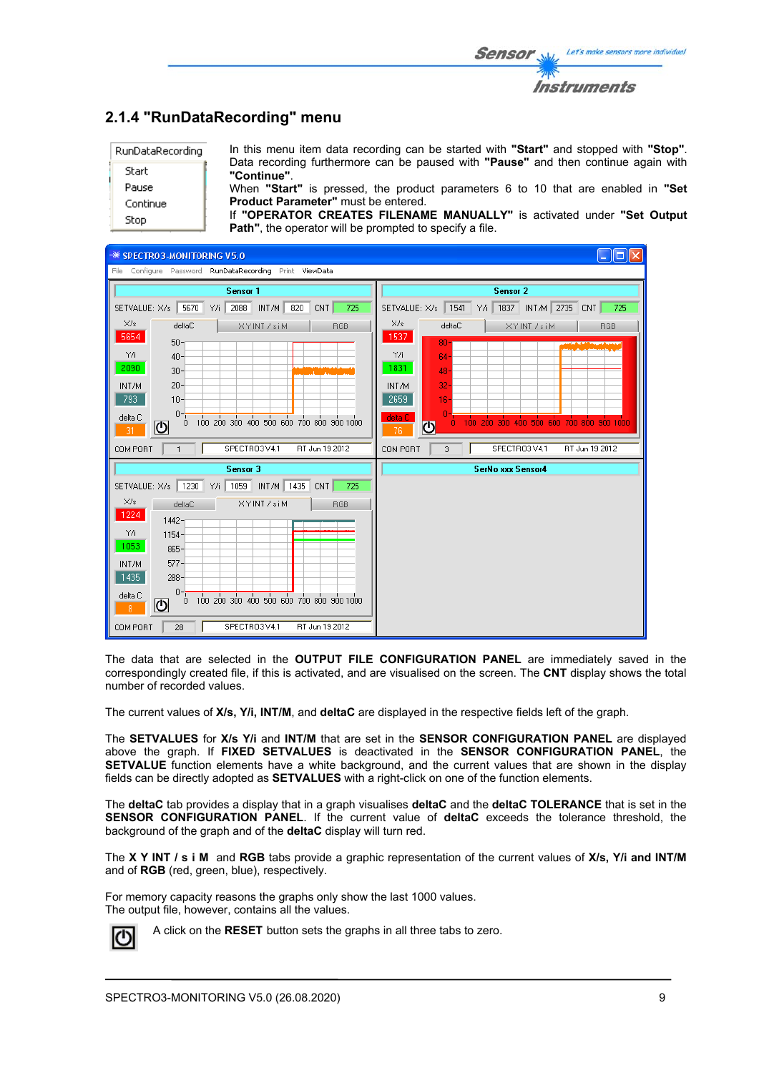|                                                | 2.1.4 "RunDataRecording" menu                                                                                                             |
|------------------------------------------------|-------------------------------------------------------------------------------------------------------------------------------------------|
| RunDataRecording                               | In this menu item data recording can be started with "Start" and stopped with "Stop".                                                     |
| Start                                          | Data recording furthermore can be paused with <b>"Pause"</b> and then continue again with<br>"Continue".                                  |
| Pause                                          | When "Start" is pressed, the product parameters 6 to 10 that are enabled in "Set                                                          |
| Continue                                       | <b>Product Parameter"</b> must be entered.                                                                                                |
| Stop                                           | If "OPERATOR CREATES FILENAME MANUALLY" is activated under "Set Output<br><b>Path"</b> , the operator will be prompted to specify a file. |
| <del>■</del> SPECTRO3-MONITORING V5.0          |                                                                                                                                           |
| File Configure Password RunDataRecording Print | ViewData                                                                                                                                  |

| File Configure Password RunDataRecording Print ViewData                             |                                                               |  |  |  |  |  |
|-------------------------------------------------------------------------------------|---------------------------------------------------------------|--|--|--|--|--|
| Sensor 1                                                                            | Sensor 2                                                      |  |  |  |  |  |
| 2088 INT/M<br>5670 Y/i<br>820<br>725<br>SETVALUE: X/s<br>CNT                        | 1837 INT/M 2735<br>SETVALUE: X/s<br>1541<br>Y/i<br>725<br>CNT |  |  |  |  |  |
| X/s<br>deltaC<br>XYINT /siM<br><b>RGB</b>                                           | X/s<br>deltaC<br>XYINT /siM<br>RGB                            |  |  |  |  |  |
| 5654<br>$50 -$                                                                      | 1537<br>$80 - 1$                                              |  |  |  |  |  |
| Y/i<br>$40 -$<br>2090                                                               | YÆ<br>$64-$<br>1831                                           |  |  |  |  |  |
| $30 -$<br>$20 -$<br>INT/M                                                           | $48 -$<br>$32 -$<br>INT/M                                     |  |  |  |  |  |
| 793<br>$10 -$                                                                       | 2659<br>$16 -$                                                |  |  |  |  |  |
| $0 - i$<br>delta C<br>$\overrightarrow{0}$ 100 200 300 400 500 600 700 800 900 1000 | O.<br>delta C<br>100 200 300 400 500 600 700 800 900 1000     |  |  |  |  |  |
| ଏ<br>31                                                                             | л.<br>$\overline{O}$<br>76                                    |  |  |  |  |  |
| SPECTRO3V4.1<br>RT Jun 19 2012<br>COM PORT<br>1                                     | SPECTRO3V4.1<br>RT Jun 19 2012<br>COM PORT<br>3               |  |  |  |  |  |
| Sensor 3                                                                            | SerNo xxx Sensor4                                             |  |  |  |  |  |
| SETVALUE: X/s   1230 Y/i   1059   INT/M   1435 CNT  <br>725                         |                                                               |  |  |  |  |  |
| X/s<br>XYINT /siM<br>deltaC<br>RGB                                                  |                                                               |  |  |  |  |  |
| 1224<br>$1442 -$                                                                    |                                                               |  |  |  |  |  |
| Y/i<br>$1154 -$<br>1053                                                             |                                                               |  |  |  |  |  |
| $865 -$<br>$577 -$<br>INT/M                                                         |                                                               |  |  |  |  |  |
| 1435<br>$288-$                                                                      |                                                               |  |  |  |  |  |
| $0 - t$<br>delta C<br>100 200 300 400 500 600 700 800 900 1000                      |                                                               |  |  |  |  |  |
| 0<br><u>ଏ</u><br>8                                                                  |                                                               |  |  |  |  |  |
| SPECTRO3V4.1<br>RT Jun 19 2012<br>COM PORT<br>28                                    |                                                               |  |  |  |  |  |

The data that are selected in the **OUTPUT FILE CONFIGURATION PANEL** are immediately saved in the correspondingly created file, if this is activated, and are visualised on the screen. The **CNT** display shows the total number of recorded values.

The current values of **X/s, Y/i, INT/M**, and **deltaC** are displayed in the respective fields left of the graph.

The **SETVALUES** for **X/s Y/i** and **INT/M** that are set in the **SENSOR CONFIGURATION PANEL** are displayed above the graph. If **FIXED SETVALUES** is deactivated in the **SENSOR CONFIGURATION PANEL**, the **SETVALUE** function elements have a white background, and the current values that are shown in the display fields can be directly adopted as **SETVALUES** with a right-click on one of the function elements.

The **deltaC** tab provides a display that in a graph visualises **deltaC** and the **deltaC TOLERANCE** that is set in the **SENSOR CONFIGURATION PANEL**. If the current value of **deltaC** exceeds the tolerance threshold, the background of the graph and of the **deltaC** display will turn red.

The **X Y INT / s i M** and **RGB** tabs provide a graphic representation of the current values of **X/s, Y/i and INT/M** and of **RGB** (red, green, blue), respectively.

For memory capacity reasons the graphs only show the last 1000 values. The output file, however, contains all the values.



A click on the **RESET** button sets the graphs in all three tabs to zero.

Let's make sensors more individual

Instruments

Sensol